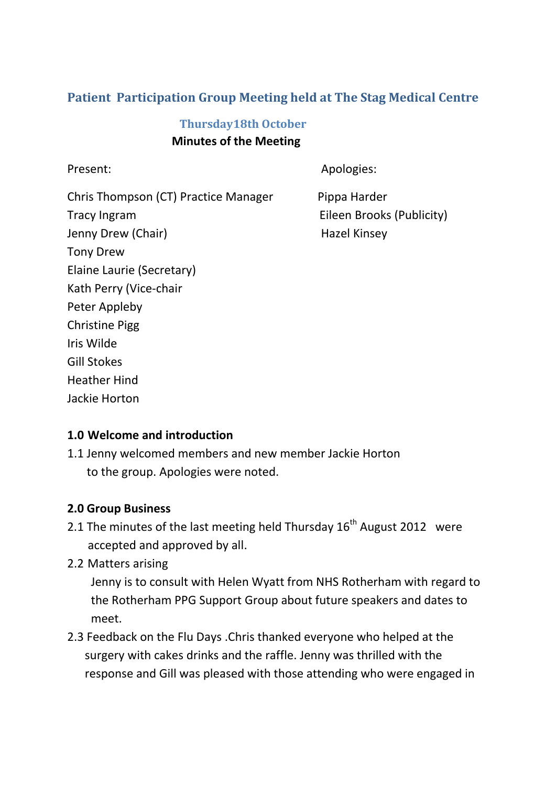# **Patient Participation Group Meeting held at The Stag Medical Centre**

## **Thursday18th October Minutes of the Meeting**

Present: Apologies: Apologies:

Chris Thompson (CT) Practice Manager Pippa Harder Tracy Ingram Eileen Brooks (Publicity) Jenny Drew (Chair) **Hazel Kinsey** Tony Drew Elaine Laurie (Secretary) Kath Perry (Vice-chair Peter Appleby Christine Pigg Iris Wilde Gill Stokes Heather Hind Jackie Horton

#### **1.0 Welcome and introduction**

1.1 Jenny welcomed members and new member Jackie Horton to the group. Apologies were noted.

#### **2.0 Group Business**

- 2.1 The minutes of the last meeting held Thursday  $16<sup>th</sup>$  August 2012 were accepted and approved by all.
- 2.2 Matters arising

 Jenny is to consult with Helen Wyatt from NHS Rotherham with regard to the Rotherham PPG Support Group about future speakers and dates to meet.

2.3 Feedback on the Flu Days .Chris thanked everyone who helped at the surgery with cakes drinks and the raffle. Jenny was thrilled with the response and Gill was pleased with those attending who were engaged in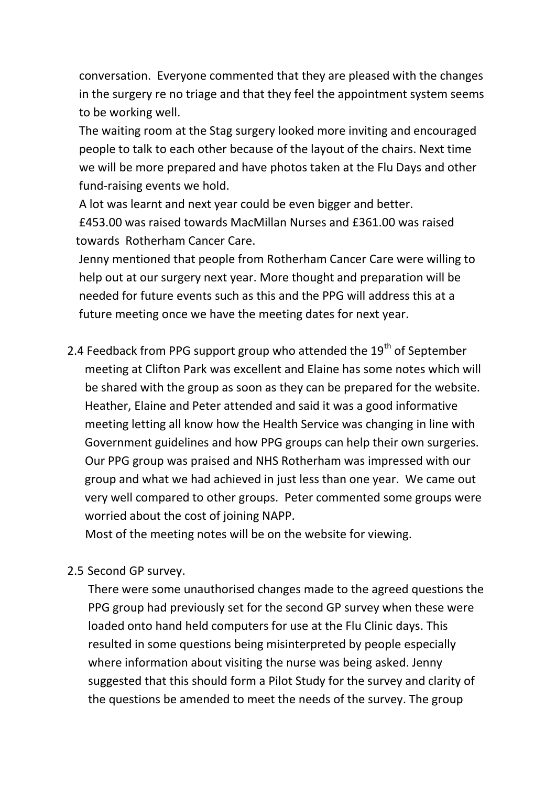conversation. Everyone commented that they are pleased with the changes in the surgery re no triage and that they feel the appointment system seems to be working well.

 The waiting room at the Stag surgery looked more inviting and encouraged people to talk to each other because of the layout of the chairs. Next time we will be more prepared and have photos taken at the Flu Days and other fund-raising events we hold.

 A lot was learnt and next year could be even bigger and better. £453.00 was raised towards MacMillan Nurses and £361.00 was raised towards Rotherham Cancer Care.

 Jenny mentioned that people from Rotherham Cancer Care were willing to help out at our surgery next year. More thought and preparation will be needed for future events such as this and the PPG will address this at a future meeting once we have the meeting dates for next year.

2.4 Feedback from PPG support group who attended the  $19<sup>th</sup>$  of September meeting at Clifton Park was excellent and Elaine has some notes which will be shared with the group as soon as they can be prepared for the website. Heather, Elaine and Peter attended and said it was a good informative meeting letting all know how the Health Service was changing in line with Government guidelines and how PPG groups can help their own surgeries. Our PPG group was praised and NHS Rotherham was impressed with our group and what we had achieved in just less than one year. We came out very well compared to other groups. Peter commented some groups were worried about the cost of joining NAPP.

Most of the meeting notes will be on the website for viewing.

#### 2.5 Second GP survey.

 There were some unauthorised changes made to the agreed questions the PPG group had previously set for the second GP survey when these were loaded onto hand held computers for use at the Flu Clinic days. This resulted in some questions being misinterpreted by people especially where information about visiting the nurse was being asked. Jenny suggested that this should form a Pilot Study for the survey and clarity of the questions be amended to meet the needs of the survey. The group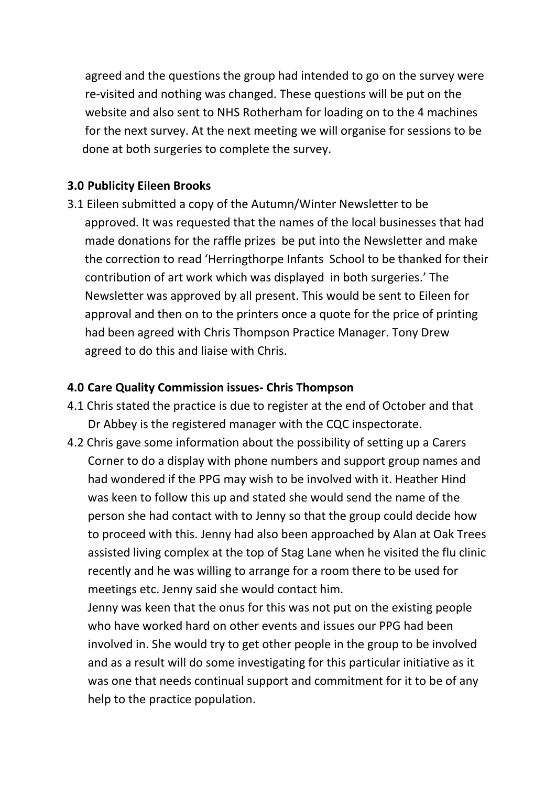agreed and the questions the group had intended to go on the survey were re-visited and nothing was changed. These questions will be put on the website and also sent to NHS Rotherham for loading on to the 4 machines for the next survey. At the next meeting we will organise for sessions to be done at both surgeries to complete the survey.

## **3.0 Publicity Eileen Brooks**

3.1 Eileen submitted a copy of the Autumn/Winter Newsletter to be approved. It was requested that the names of the local businesses that had made donations for the raffle prizes be put into the Newsletter and make the correction to read 'Herringthorpe Infants School to be thanked for their contribution of art work which was displayed in both surgeries.' The Newsletter was approved by all present. This would be sent to Eileen for approval and then on to the printers once a quote for the price of printing had been agreed with Chris Thompson Practice Manager. Tony Drew agreed to do this and liaise with Chris.

#### **4.0 Care Quality Commission issues- Chris Thompson**

- 4.1 Chris stated the practice is due to register at the end of October and that Dr Abbey is the registered manager with the CQC inspectorate.
- 4.2 Chris gave some information about the possibility of setting up a Carers Corner to do a display with phone numbers and support group names and had wondered if the PPG may wish to be involved with it. Heather Hind was keen to follow this up and stated she would send the name of the person she had contact with to Jenny so that the group could decide how to proceed with this. Jenny had also been approached by Alan at Oak Trees assisted living complex at the top of Stag Lane when he visited the flu clinic recently and he was willing to arrange for a room there to be used for meetings etc. Jenny said she would contact him.

 Jenny was keen that the onus for this was not put on the existing people who have worked hard on other events and issues our PPG had been involved in. She would try to get other people in the group to be involved and as a result will do some investigating for this particular initiative as it was one that needs continual support and commitment for it to be of any help to the practice population.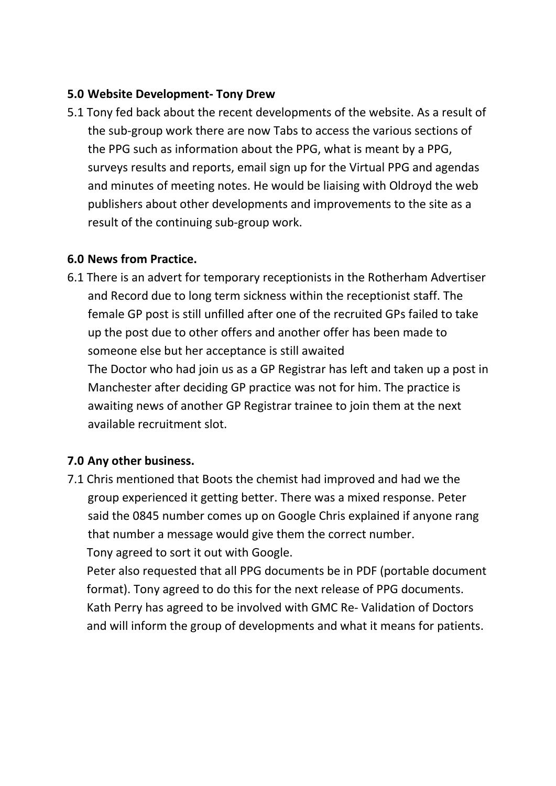## **5.0 Website Development- Tony Drew**

5.1 Tony fed back about the recent developments of the website. As a result of the sub-group work there are now Tabs to access the various sections of the PPG such as information about the PPG, what is meant by a PPG, surveys results and reports, email sign up for the Virtual PPG and agendas and minutes of meeting notes. He would be liaising with Oldroyd the web publishers about other developments and improvements to the site as a result of the continuing sub-group work.

### **6.0 News from Practice.**

6.1 There is an advert for temporary receptionists in the Rotherham Advertiser and Record due to long term sickness within the receptionist staff. The female GP post is still unfilled after one of the recruited GPs failed to take up the post due to other offers and another offer has been made to someone else but her acceptance is still awaited The Doctor who had join us as a GP Registrar has left and taken up a post in Manchester after deciding GP practice was not for him. The practice is awaiting news of another GP Registrar trainee to join them at the next available recruitment slot.

## **7.0 Any other business.**

7.1 Chris mentioned that Boots the chemist had improved and had we the group experienced it getting better. There was a mixed response. Peter said the 0845 number comes up on Google Chris explained if anyone rang that number a message would give them the correct number. Tony agreed to sort it out with Google.

Peter also requested that all PPG documents be in PDF (portable document format). Tony agreed to do this for the next release of PPG documents. Kath Perry has agreed to be involved with GMC Re- Validation of Doctors and will inform the group of developments and what it means for patients.